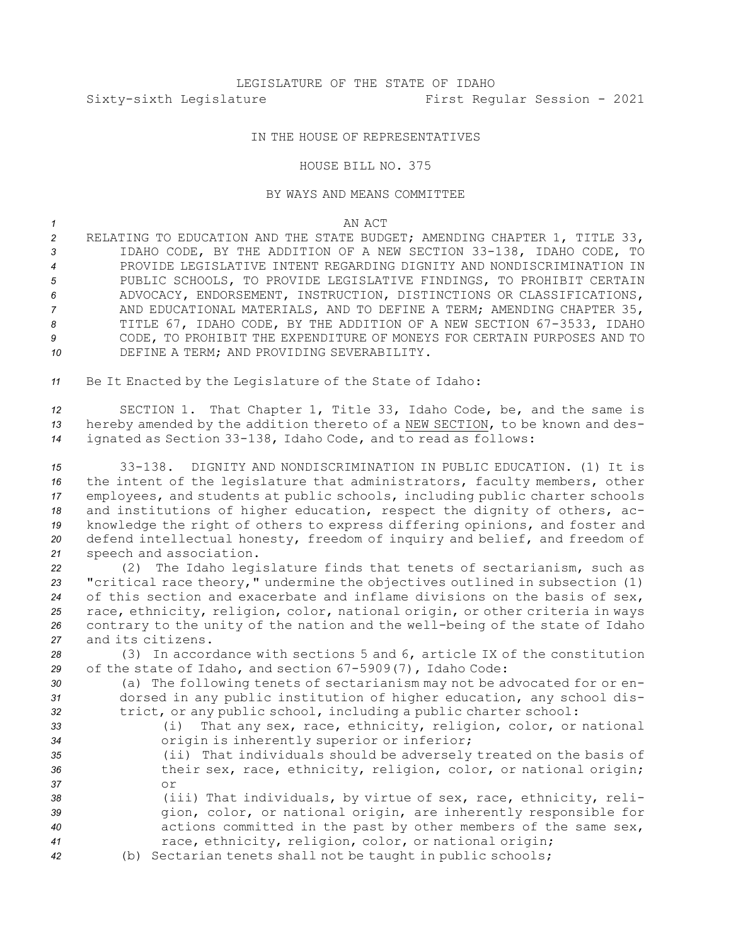## IN THE HOUSE OF REPRESENTATIVES

## HOUSE BILL NO. 375

## BY WAYS AND MEANS COMMITTEE

*1* AN ACT

 RELATING TO EDUCATION AND THE STATE BUDGET; AMENDING CHAPTER 1, TITLE 33, IDAHO CODE, BY THE ADDITION OF A NEW SECTION 33-138, IDAHO CODE, TO PROVIDE LEGISLATIVE INTENT REGARDING DIGNITY AND NONDISCRIMINATION IN 5 PUBLIC SCHOOLS, TO PROVIDE LEGISLATIVE FINDINGS, TO PROHIBIT CERTAIN ADVOCACY, ENDORSEMENT, INSTRUCTION, DISTINCTIONS OR CLASSIFICATIONS, AND EDUCATIONAL MATERIALS, AND TO DEFINE A TERM; AMENDING CHAPTER 35, TITLE 67, IDAHO CODE, BY THE ADDITION OF A NEW SECTION 67-3533, IDAHO CODE, TO PROHIBIT THE EXPENDITURE OF MONEYS FOR CERTAIN PURPOSES AND TO DEFINE A TERM; AND PROVIDING SEVERABILITY.

*<sup>11</sup>* Be It Enacted by the Legislature of the State of Idaho:

*<sup>12</sup>* SECTION 1. That Chapter 1, Title 33, Idaho Code, be, and the same is *<sup>13</sup>* hereby amended by the addition thereto of <sup>a</sup> NEW SECTION, to be known and des-*<sup>14</sup>* ignated as Section 33-138, Idaho Code, and to read as follows:

 33-138. DIGNITY AND NONDISCRIMINATION IN PUBLIC EDUCATION. (1) It is the intent of the legislature that administrators, faculty members, other employees, and students at public schools, including public charter schools and institutions of higher education, respect the dignity of others, ac- knowledge the right of others to express differing opinions, and foster and defend intellectual honesty, freedom of inquiry and belief, and freedom of speech and association.

 (2) The Idaho legislature finds that tenets of sectarianism, such as "critical race theory," undermine the objectives outlined in subsection (1) of this section and exacerbate and inflame divisions on the basis of sex, race, ethnicity, religion, color, national origin, or other criteria in ways contrary to the unity of the nation and the well-being of the state of Idaho and its citizens.

*<sup>28</sup>* (3) In accordance with sections 5 and 6, article IX of the constitution *<sup>29</sup>* of the state of Idaho, and section 67-5909(7), Idaho Code:

*<sup>30</sup>* (a) The following tenets of sectarianism may not be advocated for or en-*<sup>31</sup>* dorsed in any public institution of higher education, any school dis-*<sup>32</sup>* trict, or any public school, including <sup>a</sup> public charter school:

*<sup>33</sup>* (i) That any sex, race, ethnicity, religion, color, or national *<sup>34</sup>* origin is inherently superior or inferior;

*<sup>35</sup>* (ii) That individuals should be adversely treated on the basis of *<sup>36</sup>* their sex, race, ethnicity, religion, color, or national origin; *37* or

- *<sup>38</sup>* (iii) That individuals, by virtue of sex, race, ethnicity, reli-*<sup>39</sup>* gion, color, or national origin, are inherently responsible for *<sup>40</sup>* actions committed in the past by other members of the same sex, *<sup>41</sup>* race, ethnicity, religion, color, or national origin;
- *<sup>42</sup>* (b) Sectarian tenets shall not be taught in public schools;